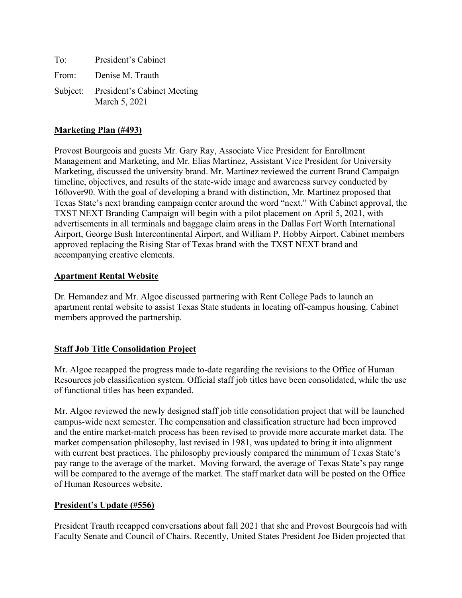| To: | President's Cabinet                                   |
|-----|-------------------------------------------------------|
|     | From: Denise M. Trauth                                |
|     | Subject: President's Cabinet Meeting<br>March 5, 2021 |

#### **Marketing Plan (#493)**

Provost Bourgeois and guests Mr. Gary Ray, Associate Vice President for Enrollment Management and Marketing, and Mr. Elias Martinez, Assistant Vice President for University Marketing, discussed the university brand. Mr. Martinez reviewed the current Brand Campaign timeline, objectives, and results of the state-wide image and awareness survey conducted by 160over90. With the goal of developing a brand with distinction, Mr. Martinez proposed that Texas State's next branding campaign center around the word "next." With Cabinet approval, the TXST NEXT Branding Campaign will begin with a pilot placement on April 5, 2021, with advertisements in all terminals and baggage claim areas in the Dallas Fort Worth International Airport, George Bush Intercontinental Airport, and William P. Hobby Airport. Cabinet members approved replacing the Rising Star of Texas brand with the TXST NEXT brand and accompanying creative elements.

#### **Apartment Rental Website**

Dr. Hernandez and Mr. Algoe discussed partnering with Rent College Pads to launch an apartment rental website to assist Texas State students in locating off-campus housing. Cabinet members approved the partnership.

## **Staff Job Title Consolidation Project**

Mr. Algoe recapped the progress made to-date regarding the revisions to the Office of Human Resources job classification system. Official staff job titles have been consolidated, while the use of functional titles has been expanded.

Mr. Algoe reviewed the newly designed staff job title consolidation project that will be launched campus-wide next semester. The compensation and classification structure had been improved and the entire market-match process has been revised to provide more accurate market data. The market compensation philosophy, last revised in 1981, was updated to bring it into alignment with current best practices. The philosophy previously compared the minimum of Texas State's pay range to the average of the market. Moving forward, the average of Texas State's pay range will be compared to the average of the market. The staff market data will be posted on the Office of Human Resources website.

## **President's Update (#556)**

President Trauth recapped conversations about fall 2021 that she and Provost Bourgeois had with Faculty Senate and Council of Chairs. Recently, United States President Joe Biden projected that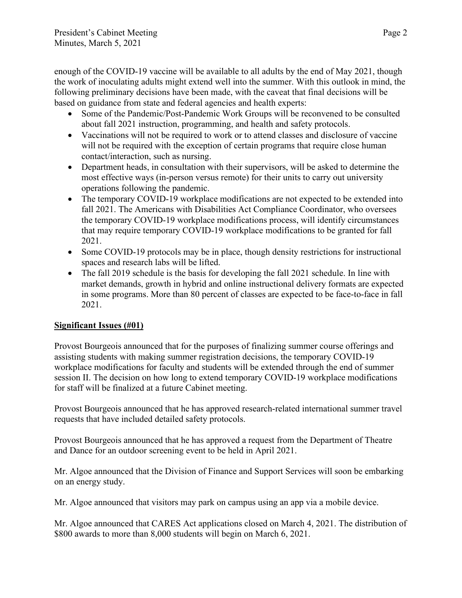enough of the COVID-19 vaccine will be available to all adults by the end of May 2021, though the work of inoculating adults might extend well into the summer. With this outlook in mind, the following preliminary decisions have been made, with the caveat that final decisions will be based on guidance from state and federal agencies and health experts:

- Some of the Pandemic/Post-Pandemic Work Groups will be reconvened to be consulted about fall 2021 instruction, programming, and health and safety protocols.
- Vaccinations will not be required to work or to attend classes and disclosure of vaccine will not be required with the exception of certain programs that require close human contact/interaction, such as nursing.
- Department heads, in consultation with their supervisors, will be asked to determine the most effective ways (in-person versus remote) for their units to carry out university operations following the pandemic.
- The temporary COVID-19 workplace modifications are not expected to be extended into fall 2021. The Americans with Disabilities Act Compliance Coordinator, who oversees the temporary COVID-19 workplace modifications process, will identify circumstances that may require temporary COVID-19 workplace modifications to be granted for fall 2021.
- Some COVID-19 protocols may be in place, though density restrictions for instructional spaces and research labs will be lifted.
- The fall 2019 schedule is the basis for developing the fall 2021 schedule. In line with market demands, growth in hybrid and online instructional delivery formats are expected in some programs. More than 80 percent of classes are expected to be face-to-face in fall 2021.

# **Significant Issues (#01)**

Provost Bourgeois announced that for the purposes of finalizing summer course offerings and assisting students with making summer registration decisions, the temporary COVID-19 workplace modifications for faculty and students will be extended through the end of summer session II. The decision on how long to extend temporary COVID-19 workplace modifications for staff will be finalized at a future Cabinet meeting.

Provost Bourgeois announced that he has approved research-related international summer travel requests that have included detailed safety protocols.

Provost Bourgeois announced that he has approved a request from the Department of Theatre and Dance for an outdoor screening event to be held in April 2021.

Mr. Algoe announced that the Division of Finance and Support Services will soon be embarking on an energy study.

Mr. Algoe announced that visitors may park on campus using an app via a mobile device.

Mr. Algoe announced that CARES Act applications closed on March 4, 2021. The distribution of \$800 awards to more than 8,000 students will begin on March 6, 2021.